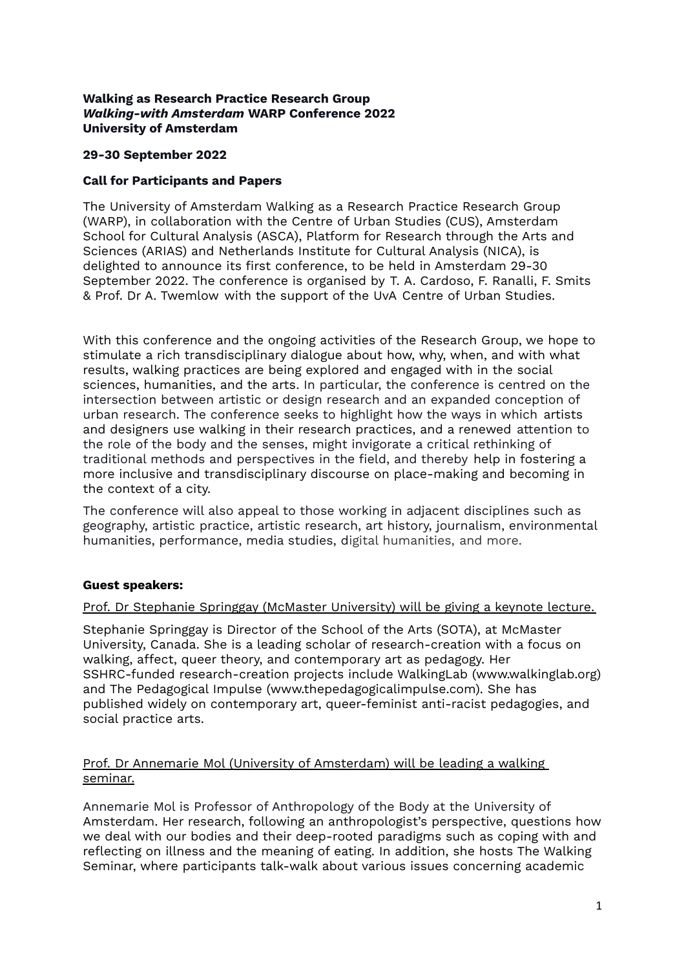#### **Walking as Research Practice Research Group** *Walking-with Amsterdam* **WARP Conference 2022 University of Amsterdam**

## **29-30 September 2022**

# **Call for Participants and Papers**

The University of Amsterdam Walking as a Research Practice Research Group (WARP), in collaboration with the Centre of Urban Studies (CUS), Amsterdam School for Cultural Analysis (ASCA), Platform for Research through the Arts and Sciences (ARIAS) and Netherlands Institute for Cultural Analysis (NICA), is delighted to announce its first conference, to be held in Amsterdam 29-30 September 2022. The conference is organised by T. A. Cardoso, F. Ranalli, F. Smits & Prof. Dr A. Twemlow with the support of the UvA Centre of Urban Studies.

With this conference and the ongoing activities of the Research Group, we hope to stimulate a rich transdisciplinary dialogue about how, why, when, and with what results, walking practices are being explored and engaged with in the social sciences, humanities, and the arts. In particular, the conference is centred on the intersection between artistic or design research and an expanded conception of urban research. The conference seeks to highlight how the ways in which artists and designers use walking in their research practices, and a renewed attention to the role of the body and the senses, might invigorate a critical rethinking of traditional methods and perspectives in the field, and thereby help in fostering a more inclusive and transdisciplinary discourse on place-making and becoming in the context of a city.

The conference will also appeal to those working in adjacent disciplines such as geography, artistic practice, artistic research, art history, journalism, environmental humanities, performance, media studies, digital humanities, and more.

# **Guest speakers:**

#### Prof. Dr Stephanie Springgay (McMaster University) will be giving a keynote lecture.

Stephanie Springgay is Director of the School of the Arts (SOTA), at McMaster University, Canada. She is a leading scholar of research-creation with a focus on walking, affect, queer theory, and contemporary art as pedagogy. Her SSHRC-funded research-creation projects include WalkingLab (www.walkinglab.org) and The Pedagogical Impulse (www.thepedagogicalimpulse.com). She has published widely on contemporary art, queer-feminist anti-racist pedagogies, and social practice arts.

# Prof. Dr Annemarie Mol (University of Amsterdam) will be leading a walking seminar.

Annemarie Mol is Professor of Anthropology of the Body at the University of Amsterdam. Her research, following an anthropologist's perspective, questions how we deal with our bodies and their deep-rooted paradigms such as coping with and reflecting on illness and the meaning of eating. In addition, she hosts The Walking Seminar, where participants talk-walk about various issues concerning academic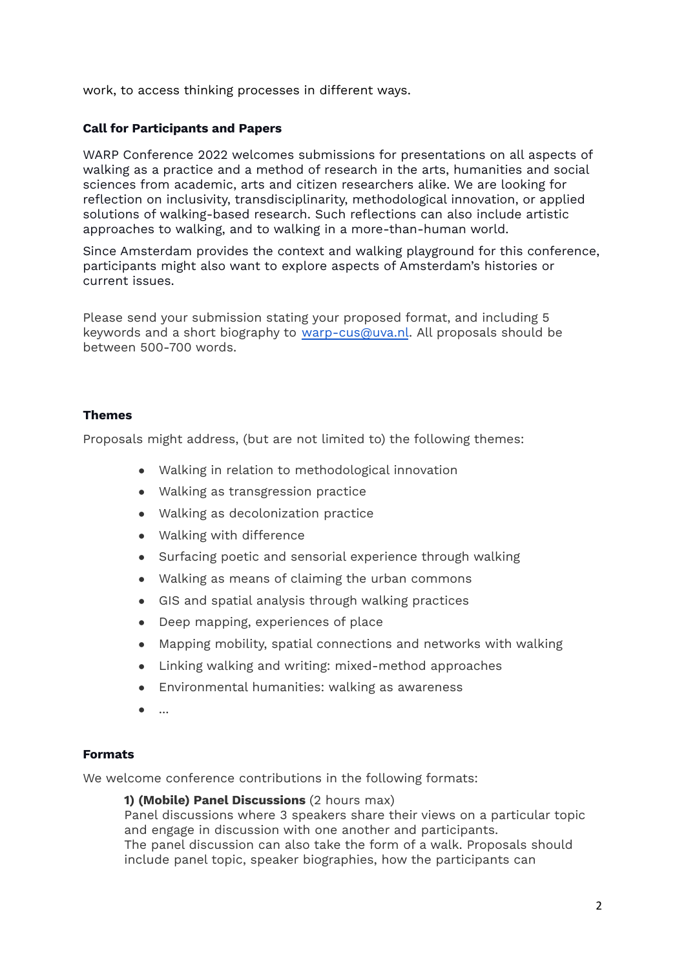work, to access thinking processes in different ways.

## **Call for Participants and Papers**

WARP Conference 2022 welcomes submissions for presentations on all aspects of walking as a practice and a method of research in the arts, humanities and social sciences from academic, arts and citizen researchers alike. We are looking for reflection on inclusivity, transdisciplinarity, methodological innovation, or applied solutions of walking-based research. Such reflections can also include artistic approaches to walking, and to walking in a more-than-human world.

Since Amsterdam provides the context and walking playground for this conference, participants might also want to explore aspects of Amsterdam's histories or current issues.

Please send your submission stating your proposed format, and including 5 keywords and a short biography to [warp-cus@uva.nl](mailto:warpcon-cus@uva.nl). All proposals should be between 500-700 words.

## **Themes**

Proposals might address, (but are not limited to) the following themes:

- Walking in relation to methodological innovation
- Walking as transgression practice
- Walking as decolonization practice
- Walking with difference
- Surfacing poetic and sensorial experience through walking
- Walking as means of claiming the urban commons
- GIS and spatial analysis through walking practices
- Deep mapping, experiences of place
- Mapping mobility, spatial connections and networks with walking
- Linking walking and writing: mixed-method approaches
- Environmental humanities: walking as awareness
- ...

#### **Formats**

We welcome conference contributions in the following formats:

#### **1) (Mobile) Panel Discussions** (2 hours max)

Panel discussions where 3 speakers share their views on a particular topic and engage in discussion with one another and participants. The panel discussion can also take the form of a walk. Proposals should

include panel topic, speaker biographies, how the participants can